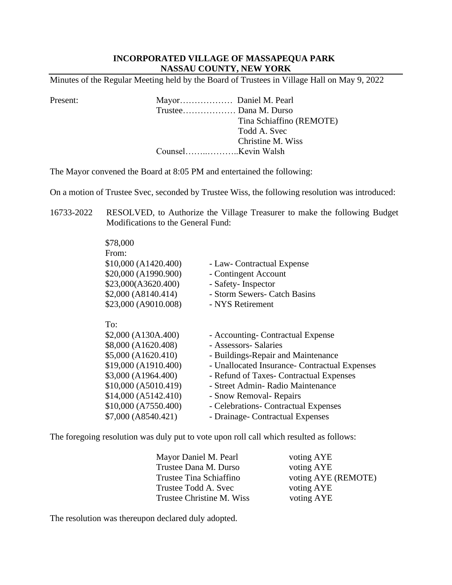## **INCORPORATED VILLAGE OF MASSAPEQUA PARK NASSAU COUNTY, NEW YORK**

Minutes of the Regular Meeting held by the Board of Trustees in Village Hall on May 9, 2022

Present: Mayor……………… Daniel M. Pearl Trustee……………… Dana M. Durso Tina Schiaffino (REMOTE) Todd A. Svec Christine M. Wiss Counsel……..………..Kevin Walsh

The Mayor convened the Board at 8:05 PM and entertained the following:

On a motion of Trustee Svec, seconded by Trustee Wiss, the following resolution was introduced:

16733-2022 RESOLVED, to Authorize the Village Treasurer to make the following Budget Modifications to the General Fund:

| \$78,000             |                                               |
|----------------------|-----------------------------------------------|
| From:                |                                               |
| \$10,000 (A1420.400) | - Law- Contractual Expense                    |
| \$20,000 (A1990.900) | - Contingent Account                          |
| \$23,000(A3620.400)  | - Safety- Inspector                           |
| \$2,000 (A8140.414)  | - Storm Sewers- Catch Basins                  |
| \$23,000 (A9010.008) | - NYS Retirement                              |
| To:                  |                                               |
| \$2,000 (A130A.400)  | - Accounting- Contractual Expense             |
| \$8,000 (A1620.408)  | - Assessors- Salaries                         |
| \$5,000 (A1620.410)  | - Buildings-Repair and Maintenance            |
| \$19,000 (A1910.400) | - Unallocated Insurance- Contractual Expenses |
| \$3,000 (A1964.400)  | - Refund of Taxes- Contractual Expenses       |
| \$10,000 (A5010.419) | - Street Admin- Radio Maintenance             |
| \$14,000 (A5142.410) | - Snow Removal- Repairs                       |
| \$10,000 (A7550.400) | - Celebrations- Contractual Expenses          |
| \$7,000 (A8540.421)  | - Drainage- Contractual Expenses              |
|                      |                                               |

The foregoing resolution was duly put to vote upon roll call which resulted as follows:

| Mayor Daniel M. Pearl   | voting AYE                              |  |
|-------------------------|-----------------------------------------|--|
| Trustee Dana M. Durso   | voting AYE                              |  |
| Trustee Tina Schiaffino | voting AYE (REMOTE)                     |  |
| Trustee Todd A. Svec    | voting AYE                              |  |
|                         | voting AYE<br>Trustee Christine M. Wiss |  |

The resolution was thereupon declared duly adopted.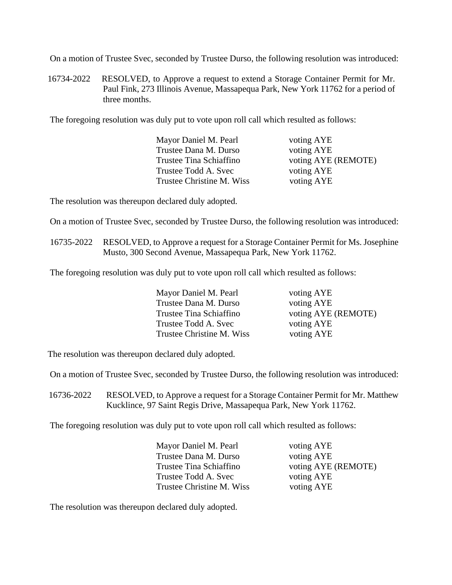On a motion of Trustee Svec, seconded by Trustee Durso, the following resolution was introduced:

16734-2022 RESOLVED, to Approve a request to extend a Storage Container Permit for Mr. Paul Fink, 273 Illinois Avenue, Massapequa Park, New York 11762 for a period of three months.

The foregoing resolution was duly put to vote upon roll call which resulted as follows:

| Mayor Daniel M. Pearl<br>voting AYE            |  |
|------------------------------------------------|--|
| voting AYE<br>Trustee Dana M. Durso            |  |
| voting AYE (REMOTE)<br>Trustee Tina Schiaffino |  |
| voting AYE<br>Trustee Todd A. Svec             |  |
| Trustee Christine M. Wiss<br>voting AYE        |  |

The resolution was thereupon declared duly adopted.

On a motion of Trustee Svec, seconded by Trustee Durso, the following resolution was introduced:

16735-2022 RESOLVED, to Approve a request for a Storage Container Permit for Ms. Josephine Musto, 300 Second Avenue, Massapequa Park, New York 11762.

The foregoing resolution was duly put to vote upon roll call which resulted as follows:

| Mayor Daniel M. Pearl     | voting AYE |
|---------------------------|------------|
| Trustee Dana M. Durso     | voting AYE |
| Trustee Tina Schiaffino   | voting AYE |
| Trustee Todd A. Svec      | voting AYE |
| Trustee Christine M. Wiss | voting AYE |

voting AYE voting AYE (REMOTE) voting AYE voting AYE

The resolution was thereupon declared duly adopted.

On a motion of Trustee Svec, seconded by Trustee Durso, the following resolution was introduced:

16736-2022 RESOLVED, to Approve a request for a Storage Container Permit for Mr. Matthew Kucklince, 97 Saint Regis Drive, Massapequa Park, New York 11762.

The foregoing resolution was duly put to vote upon roll call which resulted as follows:

| Mayor Daniel M. Pearl     | voting AYE          |
|---------------------------|---------------------|
| Trustee Dana M. Durso     | voting AYE          |
| Trustee Tina Schiaffino   | voting AYE (REMOTE) |
| Trustee Todd A. Svec      | voting AYE          |
| Trustee Christine M. Wiss | voting AYE          |

The resolution was thereupon declared duly adopted.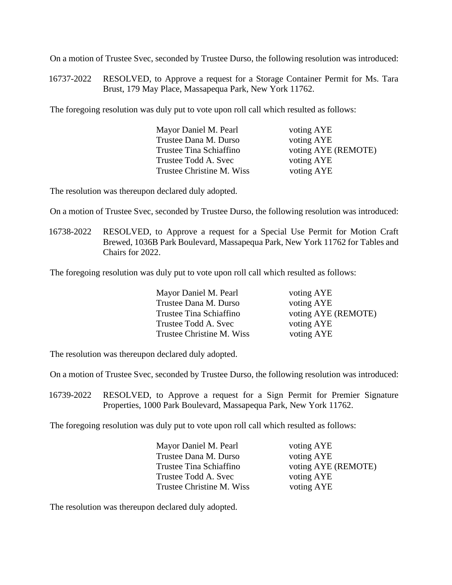On a motion of Trustee Svec, seconded by Trustee Durso, the following resolution was introduced:

16737-2022 RESOLVED, to Approve a request for a Storage Container Permit for Ms. Tara Brust, 179 May Place, Massapequa Park, New York 11762.

The foregoing resolution was duly put to vote upon roll call which resulted as follows:

| Mayor Daniel M. Pearl     | voting AYE          |
|---------------------------|---------------------|
| Trustee Dana M. Durso     | voting AYE          |
| Trustee Tina Schiaffino   | voting AYE (REMOTE) |
| Trustee Todd A. Svec      | voting AYE          |
| Trustee Christine M. Wiss | voting AYE          |

The resolution was thereupon declared duly adopted.

On a motion of Trustee Svec, seconded by Trustee Durso, the following resolution was introduced:

16738-2022 RESOLVED, to Approve a request for a Special Use Permit for Motion Craft Brewed, 1036B Park Boulevard, Massapequa Park, New York 11762 for Tables and Chairs for 2022.

The foregoing resolution was duly put to vote upon roll call which resulted as follows:

| Mayor Daniel M. Pearl     |
|---------------------------|
| Trustee Dana M. Durso     |
| Trustee Tina Schiaffino   |
| Trustee Todd A. Svec      |
| Trustee Christine M. Wiss |

voting AYE voting AYE voting AYE (REMOTE) voting AYE voting AYE

The resolution was thereupon declared duly adopted.

On a motion of Trustee Svec, seconded by Trustee Durso, the following resolution was introduced:

 16739-2022 RESOLVED, to Approve a request for a Sign Permit for Premier Signature Properties, 1000 Park Boulevard, Massapequa Park, New York 11762.

The foregoing resolution was duly put to vote upon roll call which resulted as follows:

| Mayor Daniel M. Pearl     | voting AYE          |
|---------------------------|---------------------|
| Trustee Dana M. Durso     | voting AYE          |
| Trustee Tina Schiaffino   | voting AYE (REMOTE) |
| Trustee Todd A. Svec      | voting AYE          |
| Trustee Christine M. Wiss | voting AYE          |

The resolution was thereupon declared duly adopted.